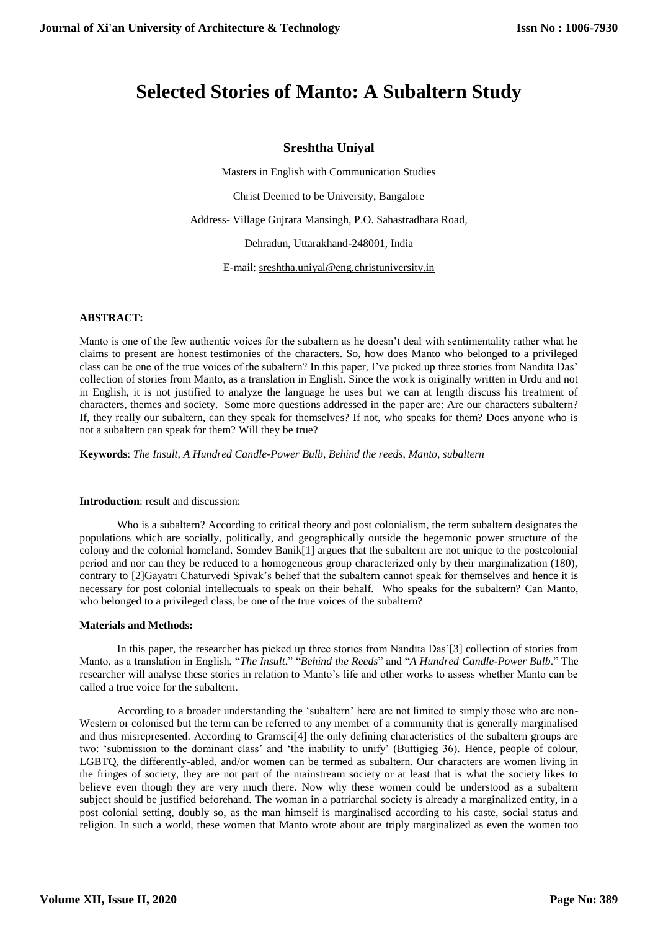# **Selected Stories of Manto: A Subaltern Study**

# **Sreshtha Uniyal**

Masters in English with Communication Studies

Christ Deemed to be University, Bangalore

Address- Village Gujrara Mansingh, P.O. Sahastradhara Road,

Dehradun, Uttarakhand-248001, India

E-mail: [sreshtha.uniyal@eng.christuniversity.in](mailto:sreshtha.uniyal@eng.christuniversity.in)

### **ABSTRACT:**

Manto is one of the few authentic voices for the subaltern as he doesn't deal with sentimentality rather what he claims to present are honest testimonies of the characters. So, how does Manto who belonged to a privileged class can be one of the true voices of the subaltern? In this paper, I've picked up three stories from Nandita Das' collection of stories from Manto, as a translation in English. Since the work is originally written in Urdu and not in English, it is not justified to analyze the language he uses but we can at length discuss his treatment of characters, themes and society. Some more questions addressed in the paper are: Are our characters subaltern? If, they really our subaltern, can they speak for themselves? If not, who speaks for them? Does anyone who is not a subaltern can speak for them? Will they be true?

**Keywords**: *The Insult, A Hundred Candle-Power Bulb, Behind the reeds*, *Manto, subaltern*

#### **Introduction**: result and discussion:

Who is a subaltern? According to critical theory and post colonialism, the term subaltern designates the populations which are socially, politically, and geographically outside the hegemonic power structure of the colony and the colonial homeland. Somdev Banik[1] argues that the subaltern are not unique to the postcolonial period and nor can they be reduced to a homogeneous group characterized only by their marginalization (180), contrary to [2]Gayatri Chaturvedi Spivak's belief that the subaltern cannot speak for themselves and hence it is necessary for post colonial intellectuals to speak on their behalf. Who speaks for the subaltern? Can Manto, who belonged to a privileged class, be one of the true voices of the subaltern?

#### **Materials and Methods:**

In this paper, the researcher has picked up three stories from Nandita Das'[3] collection of stories from Manto, as a translation in English, "*The Insult*," "*Behind the Reeds*" and "*A Hundred Candle-Power Bulb*." The researcher will analyse these stories in relation to Manto's life and other works to assess whether Manto can be called a true voice for the subaltern.

According to a broader understanding the 'subaltern' here are not limited to simply those who are non-Western or colonised but the term can be referred to any member of a community that is generally marginalised and thus misrepresented. According to Gramsci[4] the only defining characteristics of the subaltern groups are two: 'submission to the dominant class' and 'the inability to unify' (Buttigieg 36). Hence, people of colour, LGBTQ, the differently-abled, and/or women can be termed as subaltern. Our characters are women living in the fringes of society, they are not part of the mainstream society or at least that is what the society likes to believe even though they are very much there. Now why these women could be understood as a subaltern subject should be justified beforehand. The woman in a patriarchal society is already a marginalized entity, in a post colonial setting, doubly so, as the man himself is marginalised according to his caste, social status and religion. In such a world, these women that Manto wrote about are triply marginalized as even the women too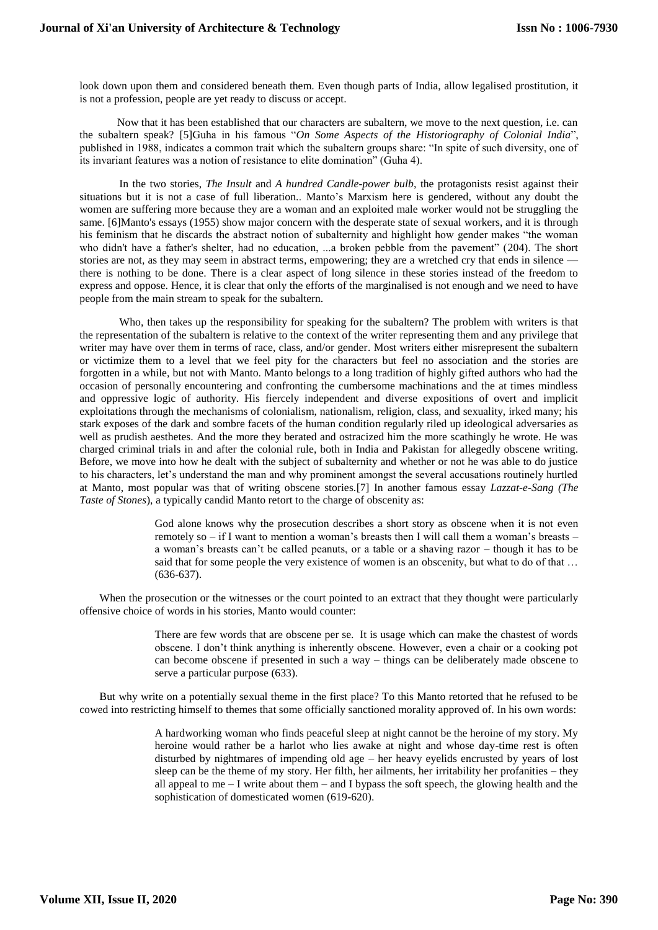look down upon them and considered beneath them. Even though parts of India, allow legalised prostitution, it is not a profession, people are yet ready to discuss or accept.

Now that it has been established that our characters are subaltern, we move to the next question, i.e. can the subaltern speak? [5]Guha in his famous "*On Some Aspects of the Historiography of Colonial India*", published in 1988, indicates a common trait which the subaltern groups share: "In spite of such diversity, one of its invariant features was a notion of resistance to elite domination" (Guha 4).

In the two stories, *The Insult* and *A hundred Candle-power bulb*, the protagonists resist against their situations but it is not a case of full liberation.. Manto's Marxism here is gendered, without any doubt the women are suffering more because they are a woman and an exploited male worker would not be struggling the same. [6]Manto's essays (1955) show major concern with the desperate state of sexual workers, and it is through his feminism that he discards the abstract notion of subalternity and highlight how gender makes "the woman who didn't have a father's shelter, had no education, ...a broken pebble from the pavement" (204). The short stories are not, as they may seem in abstract terms, empowering; they are a wretched cry that ends in silence there is nothing to be done. There is a clear aspect of long silence in these stories instead of the freedom to express and oppose. Hence, it is clear that only the efforts of the marginalised is not enough and we need to have people from the main stream to speak for the subaltern.

Who, then takes up the responsibility for speaking for the subaltern? The problem with writers is that the representation of the subaltern is relative to the context of the writer representing them and any privilege that writer may have over them in terms of race, class, and/or gender. Most writers either misrepresent the subaltern or victimize them to a level that we feel pity for the characters but feel no association and the stories are forgotten in a while, but not with Manto. Manto belongs to a long tradition of highly gifted authors who had the occasion of personally encountering and confronting the cumbersome machinations and the at times mindless and oppressive logic of authority. His fiercely independent and diverse expositions of overt and implicit exploitations through the mechanisms of colonialism, nationalism, religion, class, and sexuality, irked many; his stark exposes of the dark and sombre facets of the human condition regularly riled up ideological adversaries as well as prudish aesthetes. And the more they berated and ostracized him the more scathingly he wrote. He was charged criminal trials in and after the colonial rule, both in India and Pakistan for allegedly obscene writing. Before, we move into how he dealt with the subject of subalternity and whether or not he was able to do justice to his characters, let's understand the man and why prominent amongst the several accusations routinely hurtled at Manto, most popular was that of writing obscene stories.[7] In another famous essay *Lazzat-e-Sang (The Taste of Stones*), a typically candid Manto retort to the charge of obscenity as:

> God alone knows why the prosecution describes a short story as obscene when it is not even remotely so – if I want to mention a woman's breasts then I will call them a woman's breasts – a woman's breasts can't be called peanuts, or a table or a shaving razor – though it has to be said that for some people the very existence of women is an obscenity, but what to do of that … (636-637).

When the prosecution or the witnesses or the court pointed to an extract that they thought were particularly offensive choice of words in his stories, Manto would counter:

> There are few words that are obscene per se. It is usage which can make the chastest of words obscene. I don't think anything is inherently obscene. However, even a chair or a cooking pot can become obscene if presented in such a way – things can be deliberately made obscene to serve a particular purpose (633).

But why write on a potentially sexual theme in the first place? To this Manto retorted that he refused to be cowed into restricting himself to themes that some officially sanctioned morality approved of. In his own words:

> A hardworking woman who finds peaceful sleep at night cannot be the heroine of my story. My heroine would rather be a harlot who lies awake at night and whose day-time rest is often disturbed by nightmares of impending old age – her heavy eyelids encrusted by years of lost sleep can be the theme of my story. Her filth, her ailments, her irritability her profanities – they all appeal to me  $-I$  write about them  $-$  and I bypass the soft speech, the glowing health and the sophistication of domesticated women (619-620).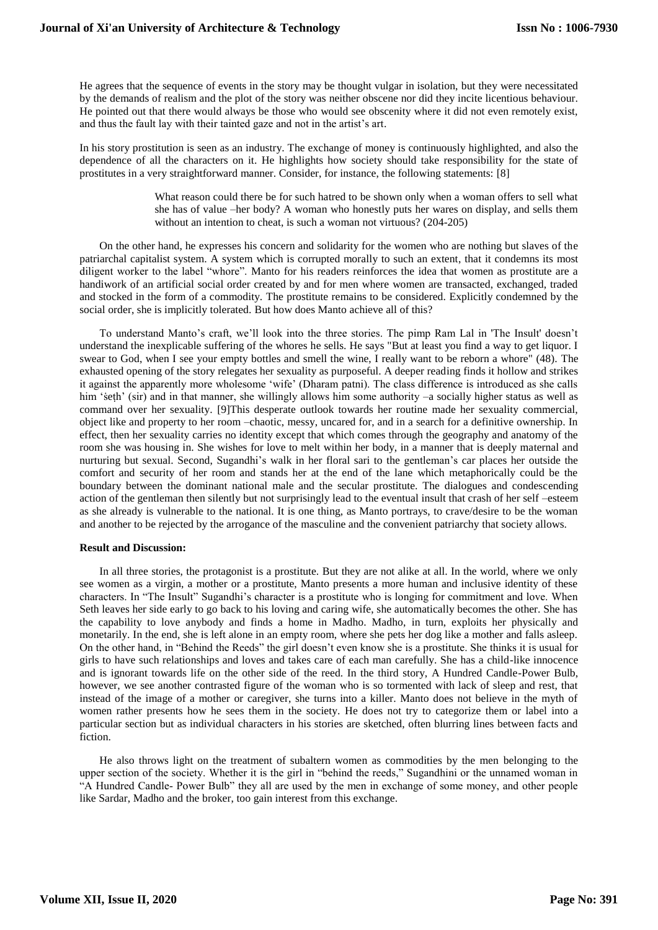He agrees that the sequence of events in the story may be thought vulgar in isolation, but they were necessitated by the demands of realism and the plot of the story was neither obscene nor did they incite licentious behaviour. He pointed out that there would always be those who would see obscenity where it did not even remotely exist, and thus the fault lay with their tainted gaze and not in the artist's art.

In his story prostitution is seen as an industry. The exchange of money is continuously highlighted, and also the dependence of all the characters on it. He highlights how society should take responsibility for the state of prostitutes in a very straightforward manner. Consider, for instance, the following statements: [8]

> What reason could there be for such hatred to be shown only when a woman offers to sell what she has of value –her body? A woman who honestly puts her wares on display, and sells them without an intention to cheat, is such a woman not virtuous? (204-205)

On the other hand, he expresses his concern and solidarity for the women who are nothing but slaves of the patriarchal capitalist system. A system which is corrupted morally to such an extent, that it condemns its most diligent worker to the label "whore". Manto for his readers reinforces the idea that women as prostitute are a handiwork of an artificial social order created by and for men where women are transacted, exchanged, traded and stocked in the form of a commodity. The prostitute remains to be considered. Explicitly condemned by the social order, she is implicitly tolerated. But how does Manto achieve all of this?

To understand Manto's craft, we'll look into the three stories. The pimp Ram Lal in 'The Insult' doesn't understand the inexplicable suffering of the whores he sells. He says "But at least you find a way to get liquor. I swear to God, when I see your empty bottles and smell the wine, I really want to be reborn a whore" (48). The exhausted opening of the story relegates her sexuality as purposeful. A deeper reading finds it hollow and strikes it against the apparently more wholesome 'wife' (Dharam patni). The class difference is introduced as she calls him 'seth' (sir) and in that manner, she willingly allows him some authority –a socially higher status as well as command over her sexuality. [9]This desperate outlook towards her routine made her sexuality commercial, object like and property to her room –chaotic, messy, uncared for, and in a search for a definitive ownership. In effect, then her sexuality carries no identity except that which comes through the geography and anatomy of the room she was housing in. She wishes for love to melt within her body, in a manner that is deeply maternal and nurturing but sexual. Second, Sugandhi's walk in her floral sari to the gentleman's car places her outside the comfort and security of her room and stands her at the end of the lane which metaphorically could be the boundary between the dominant national male and the secular prostitute. The dialogues and condescending action of the gentleman then silently but not surprisingly lead to the eventual insult that crash of her self –esteem as she already is vulnerable to the national. It is one thing, as Manto portrays, to crave/desire to be the woman and another to be rejected by the arrogance of the masculine and the convenient patriarchy that society allows.

#### **Result and Discussion:**

In all three stories, the protagonist is a prostitute. But they are not alike at all. In the world, where we only see women as a virgin, a mother or a prostitute, Manto presents a more human and inclusive identity of these characters. In "The Insult" Sugandhi's character is a prostitute who is longing for commitment and love. When Seth leaves her side early to go back to his loving and caring wife, she automatically becomes the other. She has the capability to love anybody and finds a home in Madho. Madho, in turn, exploits her physically and monetarily. In the end, she is left alone in an empty room, where she pets her dog like a mother and falls asleep. On the other hand, in "Behind the Reeds" the girl doesn't even know she is a prostitute. She thinks it is usual for girls to have such relationships and loves and takes care of each man carefully. She has a child-like innocence and is ignorant towards life on the other side of the reed. In the third story, A Hundred Candle-Power Bulb, however, we see another contrasted figure of the woman who is so tormented with lack of sleep and rest, that instead of the image of a mother or caregiver, she turns into a killer. Manto does not believe in the myth of women rather presents how he sees them in the society. He does not try to categorize them or label into a particular section but as individual characters in his stories are sketched, often blurring lines between facts and fiction.

He also throws light on the treatment of subaltern women as commodities by the men belonging to the upper section of the society. Whether it is the girl in "behind the reeds," Sugandhini or the unnamed woman in "A Hundred Candle- Power Bulb" they all are used by the men in exchange of some money, and other people like Sardar, Madho and the broker, too gain interest from this exchange.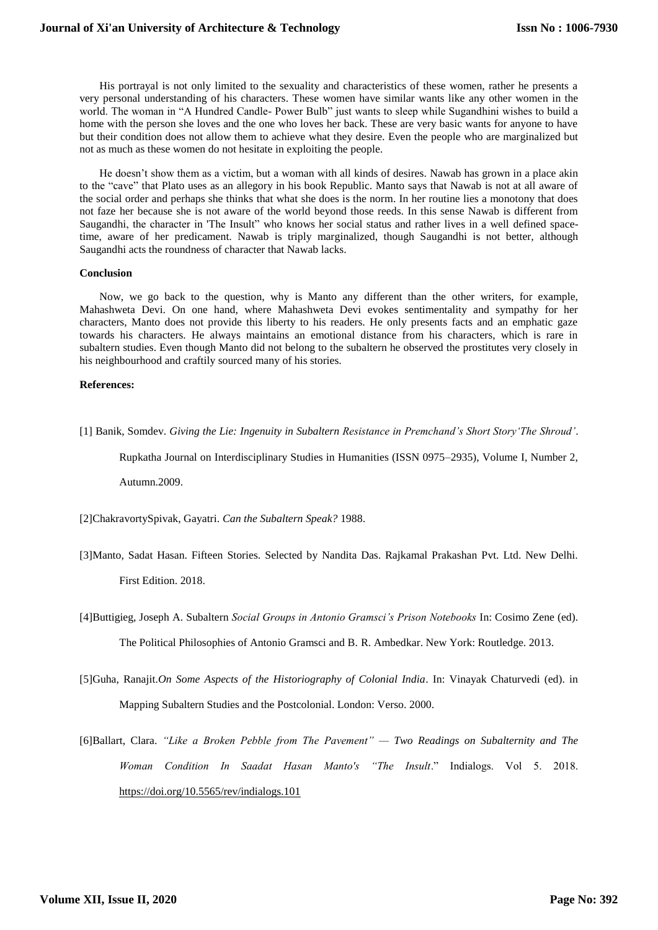His portrayal is not only limited to the sexuality and characteristics of these women, rather he presents a very personal understanding of his characters. These women have similar wants like any other women in the world. The woman in "A Hundred Candle- Power Bulb" just wants to sleep while Sugandhini wishes to build a home with the person she loves and the one who loves her back. These are very basic wants for anyone to have but their condition does not allow them to achieve what they desire. Even the people who are marginalized but not as much as these women do not hesitate in exploiting the people.

He doesn't show them as a victim, but a woman with all kinds of desires. Nawab has grown in a place akin to the "cave" that Plato uses as an allegory in his book Republic. Manto says that Nawab is not at all aware of the social order and perhaps she thinks that what she does is the norm. In her routine lies a monotony that does not faze her because she is not aware of the world beyond those reeds. In this sense Nawab is different from Saugandhi, the character in 'The Insult" who knows her social status and rather lives in a well defined spacetime, aware of her predicament. Nawab is triply marginalized, though Saugandhi is not better, although Saugandhi acts the roundness of character that Nawab lacks.

#### **Conclusion**

Now, we go back to the question, why is Manto any different than the other writers, for example, Mahashweta Devi. On one hand, where Mahashweta Devi evokes sentimentality and sympathy for her characters, Manto does not provide this liberty to his readers. He only presents facts and an emphatic gaze towards his characters. He always maintains an emotional distance from his characters, which is rare in subaltern studies. Even though Manto did not belong to the subaltern he observed the prostitutes very closely in his neighbourhood and craftily sourced many of his stories.

#### **References:**

[1] Banik, Somdev. *Giving the Lie: Ingenuity in Subaltern Resistance in Premchand's Short Story'The Shroud'*.

Rupkatha Journal on Interdisciplinary Studies in Humanities (ISSN 0975–2935), Volume I, Number 2,

Autumn.2009.

[2]ChakravortySpivak, Gayatri. *Can the Subaltern Speak?* 1988.

- [3]Manto, Sadat Hasan. Fifteen Stories. Selected by Nandita Das. Rajkamal Prakashan Pvt. Ltd. New Delhi. First Edition. 2018.
- [4]Buttigieg, Joseph A. Subaltern *Social Groups in Antonio Gramsci's Prison Notebooks* In: Cosimo Zene (ed). The Political Philosophies of Antonio Gramsci and B. R. Ambedkar. New York: Routledge. 2013.
- [5]Guha, Ranajit.*On Some Aspects of the Historiography of Colonial India*. In: Vinayak Chaturvedi (ed). in Mapping Subaltern Studies and the Postcolonial. London: Verso. 2000.
- [6]Ballart, Clara. *"Like a Broken Pebble from The Pavement" — Two Readings on Subalternity and The Woman Condition In Saadat Hasan Manto's "The Insult*." Indialogs. Vol 5. 2018. <https://doi.org/10.5565/rev/indialogs.101>